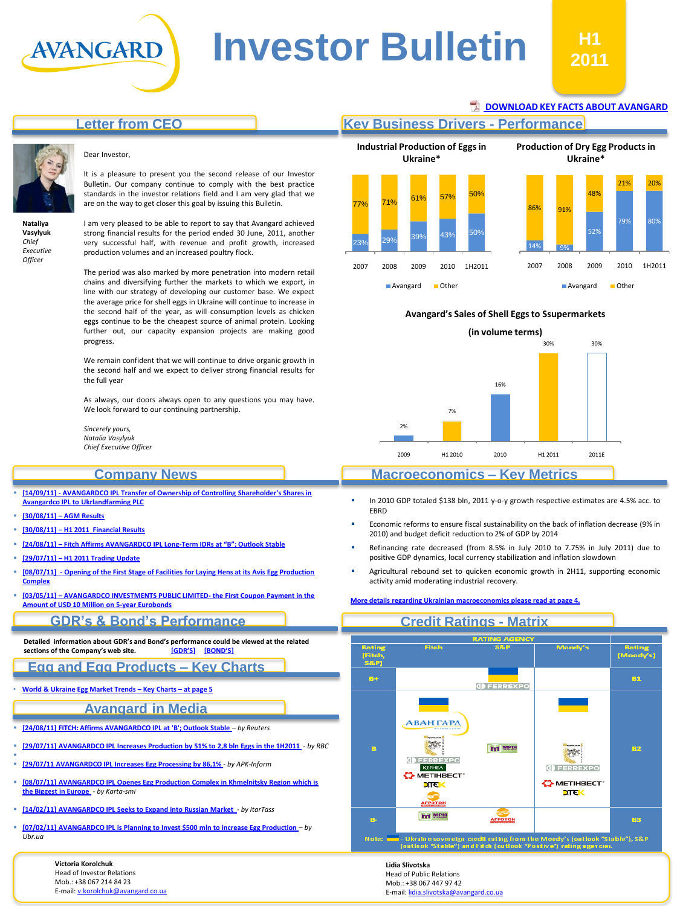# **Letter from CEO**



**Nataliya Vasylyuk** *Chief Executive Officer*

#### Dear Investor,

AVANGARD

It is a pleasure to present you the second release of our Investor Bulletin. Our company continue to comply with the best practice standards in the investor relations field and I am very glad that we are on the way to get closer this goal by issuing this Bulletin.

I am very pleased to be able to report to say that Avangard achieved strong financial results for the period ended 30 June, 2011, another very successful half, with revenue and profit growth, increased production volumes and an increased poultry flock.

The period was also marked by more penetration into modern retail chains and diversifying further the markets to which we export, in line with our strategy of developing our customer base. We expect the average price for shell eggs in Ukraine will continue to increase in the second half of the year, as will consumption levels as chicken eggs continue to be the cheapest source of animal protein. Looking further out, our capacity expansion projects are making good progress.

We remain confident that we will continue to drive organic growth in the second half and we expect to deliver strong financial results for the full year

As always, our doors always open to any questions you may have. We look forward to our continuing partnership.

*Sincerely yours, Natalia Vasylyuk Chief Executive Officer*

**[Avangardco IPL to Ukrlandfarming](http://avangard.co.ua/eng/press-centre/press-releases/e/year/2011/id/83/news_next/1/) [PLC](http://avangard.co.ua/eng/press-centre/press-releases/e/year/2011/id/83/news_next/1/) [\[30/08/11\]](http://avangard.co.ua/eng/press-centre/press-releases/e/year/2011/id/81/news_next/1/) [–](http://avangard.co.ua/eng/press-centre/press-releases/e/year/2011/id/81/news_next/1/) [AGM Results](http://avangard.co.ua/eng/press-centre/press-releases/e/year/2011/id/81/news_next/1/) [\[30/08/11\]](http://avangard.co.ua/eng/press-centre/press-releases/e/year/2011/id/80/news_next/1/) [–](http://avangard.co.ua/eng/press-centre/press-releases/e/year/2011/id/80/news_next/1/) [H1 2011 Financial Results](http://avangard.co.ua/eng/press-centre/press-releases/e/year/2011/id/80/news_next/1/)**

**[\[29/07/11\]](http://avangard.co.ua/eng/press-centre/press-releases/e/year/2011/id/77/news_next/1/) [–](http://avangard.co.ua/eng/press-centre/press-releases/e/year/2011/id/77/news_next/1/) [H1 2011 Trading Update](http://avangard.co.ua/eng/press-centre/press-releases/e/year/2011/id/77/news_next/1/)**

**[Amount of USD 10 Million on 5-year Eurobonds](http://avangard.co.ua/eng/press-centre/news/e/year/2011/id/71/news_next/1/)**

**[Complex](http://avangard.co.ua/eng/press-centre/press-releases/e/year/2011/id/76/news_next/1/)**

**Company News**

**[\[24/08/11\]](http://avangard.co.ua/eng/press-centre/news/e/year/2011/id/79/news_next/1/) [–](http://avangard.co.ua/eng/press-centre/news/e/year/2011/id/79/news_next/1/) [Fitch Affirms AVANGARDCO IPL Long-](http://avangard.co.ua/eng/press-centre/news/e/year/2011/id/79/news_next/1/)[Term IDRs at "B"; Outlook Stable](http://avangard.co.ua/eng/press-centre/news/e/year/2011/id/79/news_next/1/)**

**[\[14/09/11\] -](http://avangard.co.ua/eng/press-centre/press-releases/e/year/2011/id/83/news_next/1/) [AVANGARDCO IPL Transfer of Ownership of Controlling Shareholder's Shares in](http://avangard.co.ua/eng/press-centre/press-releases/e/year/2011/id/83/news_next/1/)** 

## **[DOWNLOAD KEY FACTS ABOUT AVANGARD](http://avangard.co.ua/files/site/Avangard_fact-sheet_1H2011.pdf)**

### **Key Business Drivers - Performance**



#### **Avangard's Sales of Shell Eggs to Ssupermarkets**



#### **Macroeconomics – Key Metrics**

- In 2010 GDP totaled \$138 bln, 2011 y-o-y growth respective estimates are 4.5% acc. to EBRD
- Economic reforms to ensure fiscal sustainability on the back of inflation decrease (9% in 2010) and budget deficit reduction to 2% of GDP by 2014
- Refinancing rate decreased (from 8.5% in July 2010 to 7.75% in July 2011) due to positive GDP dynamics, local currency stabilization and inflation slowdown
- Agricultural rebound set to quicken economic growth in 2H11, supporting economic activity amid moderating industrial recovery.

#### **[More details regarding Ukrainian macroeconomics please read at page 4.](#page-2-0)**



**GDR's & Bond's Performance**

**[\[08/07/11\] -](http://avangard.co.ua/eng/press-centre/press-releases/e/year/2011/id/76/news_next/1/) [Opening of the First Stage of Facilities for Laying Hens at its Avis Egg Production](http://avangard.co.ua/eng/press-centre/press-releases/e/year/2011/id/76/news_next/1/)** 

**[\[03/05/11\]](http://avangard.co.ua/eng/press-centre/news/e/year/2011/id/71/news_next/1/) [–](http://avangard.co.ua/eng/press-centre/news/e/year/2011/id/71/news_next/1/) [AVANGARDCO INVESTMENTS PUBLIC LIMITED-](http://avangard.co.ua/eng/press-centre/news/e/year/2011/id/71/news_next/1/) [the First Coupon Payment in the](http://avangard.co.ua/eng/press-centre/news/e/year/2011/id/71/news_next/1/)** 

**Detailed information about GDR's and Bond's performance could be viewed at the related**   $S$  **sections of the Company's web site.** 

**Egg and Egg Products – Key Charts**

• **[World](#page-3-0) [&](#page-3-0) [Ukraine](#page-3-0) [Egg](#page-3-0) [Market](#page-3-0) [Trends](#page-3-0) [–](#page-3-0) [Key](#page-3-0) [Charts](#page-3-0) [–](#page-3-0) [at](#page-3-0) [page](#page-3-0) [5](#page-3-0)**

#### **Avangard in Media**

- **[\[24/08/11\] FITCH: Affirms AVANGARDCO IPL at 'B'; Outlook Stable](http://www.reuters.com/article/2011/08/24/markets-ratings-avangardco-idUSWNA721720110824)** *– by Reuters*
- **[\[29/07/11\]](http://www.rbc.ua/rus/newsline/show/proizvodstvo-agroholdinga-avangard-za-i-polugodie-vyroslo-29072011135000) [AVANGARDCO IPL](http://www.reuters.com/article/2011/08/24/markets-ratings-avangardco-idUSWNA721720110824) [Increases Production by 51% to 2,8 bln](http://www.rbc.ua/rus/newsline/show/proizvodstvo-agroholdinga-avangard-za-i-polugodie-vyroslo-29072011135000) [Eggs in the 1H2011](http://www.rbc.ua/rus/newsline/show/proizvodstvo-agroholdinga-avangard-za-i-polugodie-vyroslo-29072011135000)** *- by RBC*
- ı **[\[29/07/11](http://www.apk-inform.com/showart.php?id=110546) [AVANGARDCO IPL](http://www.reuters.com/article/2011/08/24/markets-ratings-avangardco-idUSWNA721720110824) [Increases Egg Processing by 86,1%](http://www.apk-inform.com/showart.php?id=110546)** *- by APK-Inform*
- **[\[08/07/11\]](http://www.karta-smi.ru/pr/105056) [AVANGARDCO IPL](http://www.reuters.com/article/2011/08/24/markets-ratings-avangardco-idUSWNA721720110824) [Openes](http://www.karta-smi.ru/pr/105056) [Egg Production Complex in Khmelnitsky Region which is](http://www.karta-smi.ru/pr/105056)  [the Biggest in Europe](http://www.karta-smi.ru/pr/105056)** *- by Karta-smi*
- **[\[14/02/11\]](http://itartass.spb.ru/?url=newsread&news_id=100045001) [AVANGARDCO IPL](http://www.reuters.com/article/2011/08/24/markets-ratings-avangardco-idUSWNA721720110824) [S](http://www.karta-smi.ru/pr/105056)[eeks to Expand into Russian Market](http://itartass.spb.ru/?url=newsread&news_id=100045001)** *- by ItarTass*
- **[\[07/02/11\]](http://www.apk-inform.com/showart.php?id=103873) [AVANGARDCO IPL](http://www.reuters.com/article/2011/08/24/markets-ratings-avangardco-idUSWNA721720110824) [is Planning to Invest \\$500 mln](http://www.apk-inform.com/showart.php?id=103873) [to increase Egg Production](http://www.apk-inform.com/showart.php?id=103873)** *– by Ubr.ua*

**Victoria Korolchuk** Head of Investor Relations Mob.: +38 067 214 84 23 E-mail: [v.korolchuk@avangard.co.ua](mailto:v.korolchuk@avangard.co.ua)

**Lidia Slivotska** Head of Public Relations Mob.: +38 067 447 97 42 E-mail: [lidia.slivotska@avangard.co.ua](mailto:lidia.slivotska@avangard.co.ua)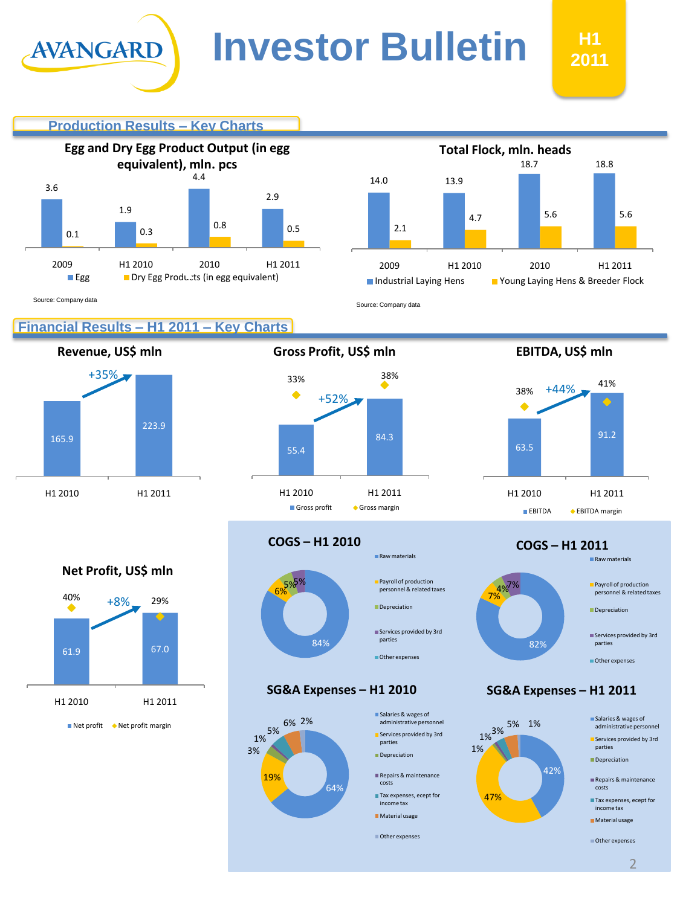#### **Production Results – Key Charts**





Source: Company data

# **Financial Results – H1 2011 – Key Charts**

**Revenue, US\$ mln**

AVANGARD



**Gross Profit, US\$ mln EBITDA, US\$ mln**



**COGS – H1 2010**

#### 84%  $\mathsf{G}$  $5%$ Raw materials **Payroll of production** personnel & related taxes Depreciation Services provided by 3rd parties Other expenses

**SG&A Expenses – H1 2010 SG&A Expenses – H1 2011**





63.5

38%

+44%

**COGS – H1 2011**

91.2

41%





**Net Profit, US\$ mln**

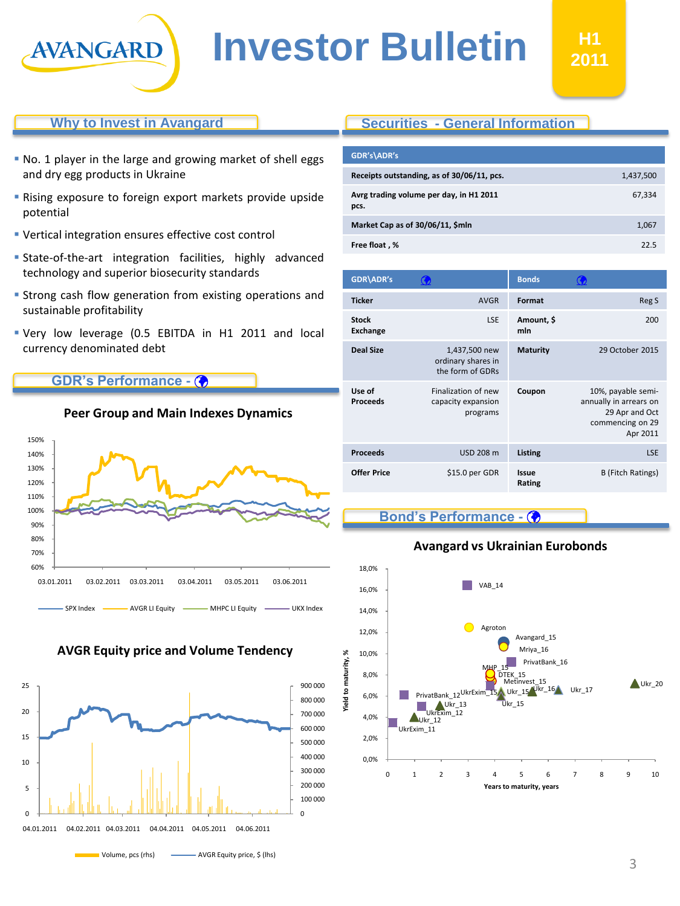

#### **Why to Invest in Avangard**

- No. 1 player in the large and growing market of shell eggs and dry egg products in Ukraine
- Rising exposure to foreign export markets provide upside potential
- Vertical integration ensures effective cost control
- State-of-the-art integration facilities, highly advanced technology and superior biosecurity standards
- **Strong cash flow generation from existing operations and** sustainable profitability
- Very low leverage (0.5 EBITDA in H1 2011 and local currency denominated debt

**Peer Group and Main Indexes Dynamics**

#### **GDR's Performance -**



#### **AVGR Equity price and Volume Tendency**

<span id="page-2-0"></span>

### **Securities - General Information**

| GDR's\ADR's                                     |           |
|-------------------------------------------------|-----------|
| Receipts outstanding, as of 30/06/11, pcs.      | 1,437,500 |
| Avrg trading volume per day, in H1 2011<br>pcs. | 67,334    |
| Market Cap as of 30/06/11, \$mln                | 1,067     |
| Free float, %                                   | 22.5      |

| <b>GDR\ADR's</b>                |                                                         | <b>Bonds</b>           |                                                                                                |
|---------------------------------|---------------------------------------------------------|------------------------|------------------------------------------------------------------------------------------------|
| <b>Ticker</b>                   | <b>AVGR</b>                                             | Format                 | Reg S                                                                                          |
| <b>Stock</b><br><b>Exchange</b> | <b>LSE</b>                                              | Amount, \$<br>mln      | 200                                                                                            |
| <b>Deal Size</b>                | 1,437,500 new<br>ordinary shares in<br>the form of GDRs | <b>Maturity</b>        | 29 October 2015                                                                                |
| Use of<br><b>Proceeds</b>       | Finalization of new<br>capacity expansion<br>programs   | Coupon                 | 10%, payable semi-<br>annually in arrears on<br>29 Apr and Oct<br>commencing on 29<br>Apr 2011 |
| <b>Proceeds</b>                 | <b>USD 208 m</b>                                        | <b>Listing</b>         | <b>LSE</b>                                                                                     |
| <b>Offer Price</b>              | \$15.0 per GDR                                          | <b>Issue</b><br>Rating | <b>B</b> (Fitch Ratings)                                                                       |

#### **Bond's Performance -**

#### **Avangard vs Ukrainian Eurobonds**

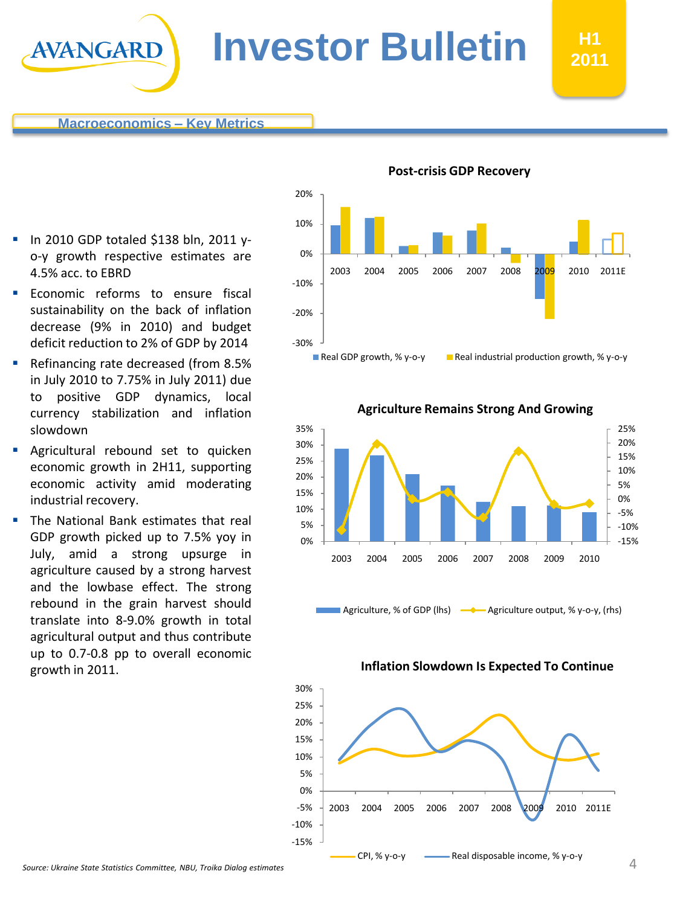AVANGARD

- **In 2010 GDP totaled \$138 bln, 2011 y**o-y growth respective estimates are 4.5% acc. to EBRD
- Economic reforms to ensure fiscal sustainability on the back of inflation decrease (9% in 2010) and budget deficit reduction to 2% of GDP by 2014
- Refinancing rate decreased (from 8.5% in July 2010 to 7.75% in July 2011) due to positive GDP dynamics, local currency stabilization and inflation slowdown
- Agricultural rebound set to quicken economic growth in 2H11, supporting economic activity amid moderating industrial recovery.
- The National Bank estimates that real GDP growth picked up to 7.5% yoy in July, amid a strong upsurge in agriculture caused by a strong harvest and the lowbase effect. The strong rebound in the grain harvest should translate into 8-9.0% growth in total agricultural output and thus contribute up to 0.7-0.8 pp to overall economic growth in 2011.



**H1 2011**



#### -15%  $-10%$ -5% 0% 5% 10% 15% 20% 25% 0% 5% 10% 15% 20% 25% 30% 35% 2003 2004 2005 2006 2007 2008 2009 2010

Agriculture, % of GDP (lhs)  $\longrightarrow$  Agriculture output, % y-o-y, (rhs)

<span id="page-3-0"></span>

**Agriculture Remains Strong And Growing**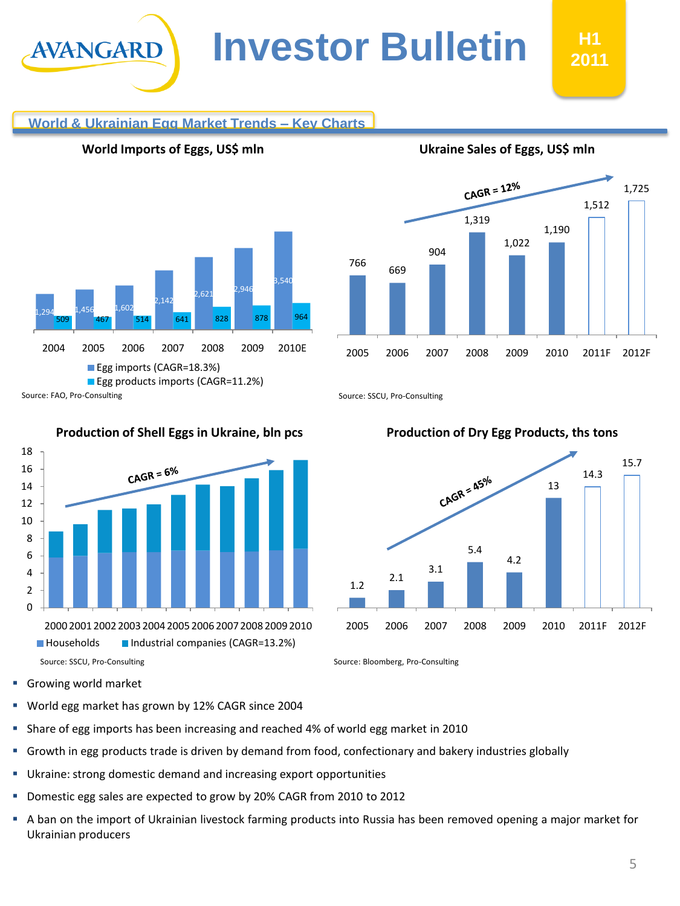# **World & Ukrainian Egg Market Trends – Key Charts**



**World Imports of Eggs, US\$ mln**

AVANGARD

# CAGR =  $12\%$ 1,725 1,512 1,319 1,190 1,022 904 766 669 2005 2006 2007 2008 2009 2010 2011F 2012F

**Ukraine Sales of Eggs, US\$ mln**

Source: SSCU, Pro-Consulting



#### **Production of Shell Eggs in Ukraine, bln pcs**



 $CAGR = 6%$ 

Source: SSCU, Pro-Consulting Source: Bloomberg, Pro-Consulting Source: Bloomberg, Pro-Consulting

**Growing world market** 

- World egg market has grown by 12% CAGR since 2004
- **Share of egg imports has been increasing and reached 4% of world egg market in 2010**
- Growth in egg products trade is driven by demand from food, confectionary and bakery industries globally
- Ukraine: strong domestic demand and increasing export opportunities
- **Domestic egg sales are expected to grow by 20% CAGR from 2010 to 2012**
- A ban on the import of Ukrainian livestock farming products into Russia has been removed opening a major market for Ukrainian producers